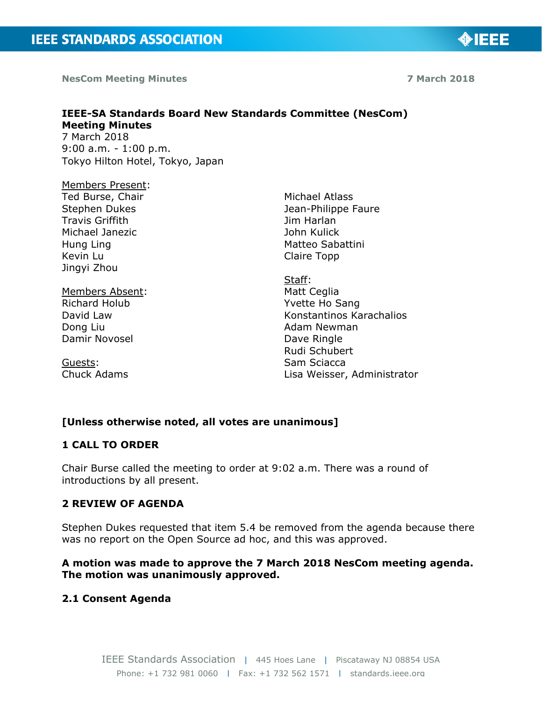**NesCom Meeting Minutes 7 March 2018**

◈IEEE

#### **IEEE-SA Standards Board New Standards Committee (NesCom) Meeting Minutes**  7 March 2018 9:00 a.m. - 1:00 p.m. Tokyo Hilton Hotel, Tokyo, Japan

Members Present: Ted Burse, Chair Stephen Dukes Travis Griffith Michael Janezic Hung Ling Kevin Lu Jingyi Zhou

Members Absent: Richard Holub David Law Dong Liu Damir Novosel

Guests: Chuck Adams Michael Atlass Jean-Philippe Faure Jim Harlan John Kulick Matteo Sabattini Claire Topp

Staff: Matt Ceglia Yvette Ho Sang Konstantinos Karachalios Adam Newman Dave Ringle Rudi Schubert Sam Sciacca Lisa Weisser, Administrator

## **[Unless otherwise noted, all votes are unanimous]**

## **1 CALL TO ORDER**

Chair Burse called the meeting to order at 9:02 a.m. There was a round of introductions by all present.

## **2 REVIEW OF AGENDA**

Stephen Dukes requested that item 5.4 be removed from the agenda because there was no report on the Open Source ad hoc, and this was approved.

### **A motion was made to approve the 7 March 2018 NesCom meeting agenda. The motion was unanimously approved.**

## **2.1 Consent Agenda**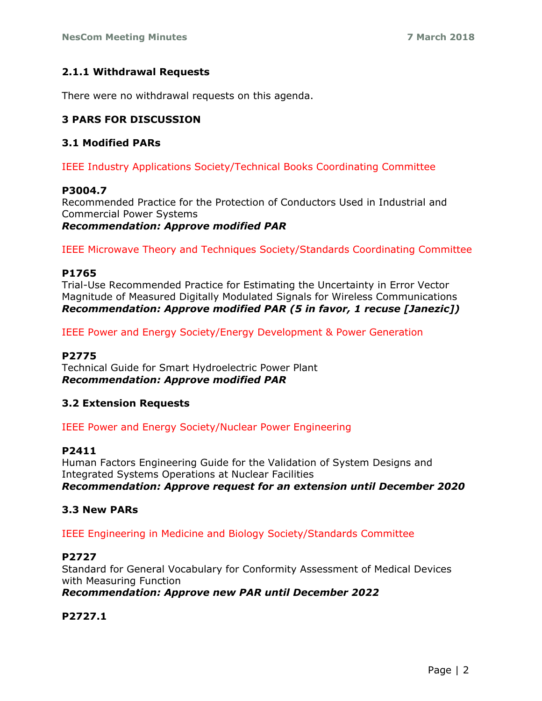### **2.1.1 Withdrawal Requests**

There were no withdrawal requests on this agenda.

## **3 PARS FOR DISCUSSION**

#### **3.1 Modified PARs**

IEEE Industry Applications Society/Technical Books Coordinating Committee

#### **P3004.7**

Recommended Practice for the Protection of Conductors Used in Industrial and Commercial Power Systems

*Recommendation: Approve modified PAR*

IEEE Microwave Theory and Techniques Society/Standards Coordinating Committee

#### **P1765**

Trial-Use Recommended Practice for Estimating the Uncertainty in Error Vector Magnitude of Measured Digitally Modulated Signals for Wireless Communications *Recommendation: Approve modified PAR (5 in favor, 1 recuse [Janezic])*

IEEE Power and Energy Society/Energy Development & Power Generation

#### **P2775**

Technical Guide for Smart Hydroelectric Power Plant *Recommendation: Approve modified PAR*

#### **3.2 Extension Requests**

IEEE Power and Energy Society/Nuclear Power Engineering

#### **P2411**

Human Factors Engineering Guide for the Validation of System Designs and Integrated Systems Operations at Nuclear Facilities *Recommendation: Approve request for an extension until December 2020*

#### **3.3 New PARs**

IEEE Engineering in Medicine and Biology Society/Standards Committee

#### **P2727**

Standard for General Vocabulary for Conformity Assessment of Medical Devices with Measuring Function *Recommendation: Approve new PAR until December 2022*

#### **P2727.1**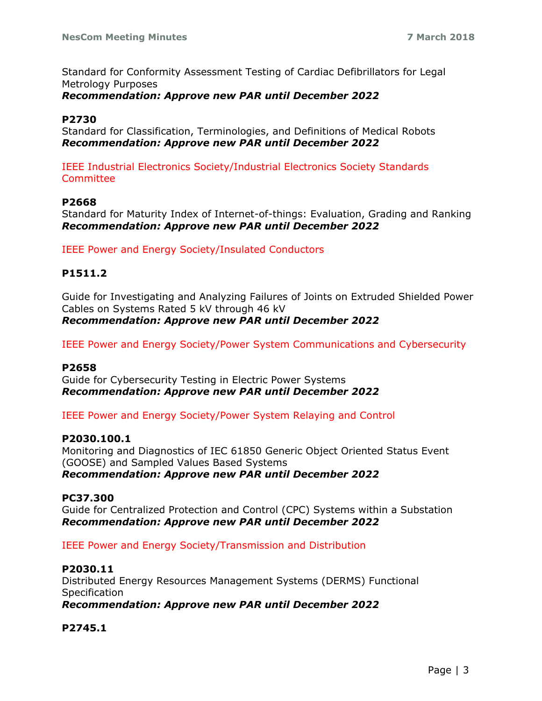Standard for Conformity Assessment Testing of Cardiac Defibrillators for Legal Metrology Purposes

### *Recommendation: Approve new PAR until December 2022*

### **P2730**

Standard for Classification, Terminologies, and Definitions of Medical Robots *Recommendation: Approve new PAR until December 2022*

IEEE Industrial Electronics Society/Industrial Electronics Society Standards **Committee** 

#### **P2668**

Standard for Maturity Index of Internet-of-things: Evaluation, Grading and Ranking *Recommendation: Approve new PAR until December 2022*

IEEE Power and Energy Society/Insulated Conductors

### **P1511.2**

Guide for Investigating and Analyzing Failures of Joints on Extruded Shielded Power Cables on Systems Rated 5 kV through 46 kV *Recommendation: Approve new PAR until December 2022*

IEEE Power and Energy Society/Power System Communications and Cybersecurity

#### **P2658**

Guide for Cybersecurity Testing in Electric Power Systems *Recommendation: Approve new PAR until December 2022*

IEEE Power and Energy Society/Power System Relaying and Control

#### **P2030.100.1**

Monitoring and Diagnostics of IEC 61850 Generic Object Oriented Status Event (GOOSE) and Sampled Values Based Systems *Recommendation: Approve new PAR until December 2022*

#### **PC37.300**

Guide for Centralized Protection and Control (CPC) Systems within a Substation *Recommendation: Approve new PAR until December 2022*

IEEE Power and Energy Society/Transmission and Distribution

### **P2030.11**

Distributed Energy Resources Management Systems (DERMS) Functional **Specification** 

*Recommendation: Approve new PAR until December 2022*

#### **P2745.1**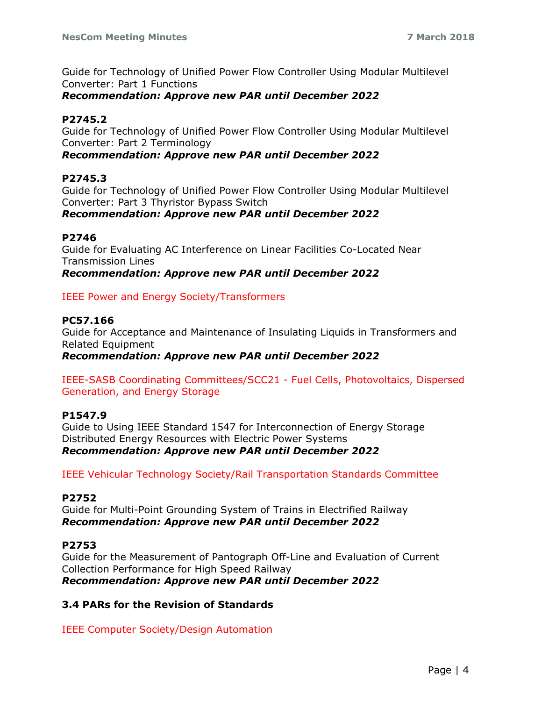Guide for Technology of Unified Power Flow Controller Using Modular Multilevel Converter: Part 1 Functions

### *Recommendation: Approve new PAR until December 2022*

### **P2745.2**

Guide for Technology of Unified Power Flow Controller Using Modular Multilevel Converter: Part 2 Terminology

### *Recommendation: Approve new PAR until December 2022*

### **P2745.3**

Guide for Technology of Unified Power Flow Controller Using Modular Multilevel Converter: Part 3 Thyristor Bypass Switch

### *Recommendation: Approve new PAR until December 2022*

### **P2746**

Guide for Evaluating AC Interference on Linear Facilities Co-Located Near Transmission Lines

*Recommendation: Approve new PAR until December 2022*

### IEEE Power and Energy Society/Transformers

### **PC57.166**

Guide for Acceptance and Maintenance of Insulating Liquids in Transformers and Related Equipment

*Recommendation: Approve new PAR until December 2022*

IEEE-SASB Coordinating Committees/SCC21 - Fuel Cells, Photovoltaics, Dispersed Generation, and Energy Storage

## **P1547.9**

Guide to Using IEEE Standard 1547 for Interconnection of Energy Storage Distributed Energy Resources with Electric Power Systems *Recommendation: Approve new PAR until December 2022*

IEEE Vehicular Technology Society/Rail Transportation Standards Committee

#### **P2752**

Guide for Multi-Point Grounding System of Trains in Electrified Railway *Recommendation: Approve new PAR until December 2022*

## **P2753**

Guide for the Measurement of Pantograph Off-Line and Evaluation of Current Collection Performance for High Speed Railway *Recommendation: Approve new PAR until December 2022*

#### **3.4 PARs for the Revision of Standards**

IEEE Computer Society/Design Automation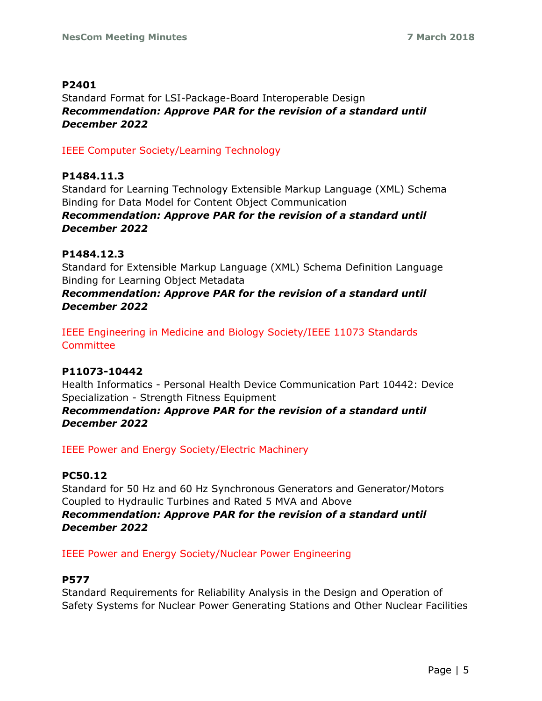### **P2401**

Standard Format for LSI-Package-Board Interoperable Design *Recommendation: Approve PAR for the revision of a standard until December 2022*

IEEE Computer Society/Learning Technology

## **P1484.11.3**

Standard for Learning Technology Extensible Markup Language (XML) Schema Binding for Data Model for Content Object Communication

### *Recommendation: Approve PAR for the revision of a standard until December 2022*

## **P1484.12.3**

Standard for Extensible Markup Language (XML) Schema Definition Language Binding for Learning Object Metadata

*Recommendation: Approve PAR for the revision of a standard until December 2022*

IEEE Engineering in Medicine and Biology Society/IEEE 11073 Standards **Committee** 

## **P11073-10442**

Health Informatics - Personal Health Device Communication Part 10442: Device Specialization - Strength Fitness Equipment

*Recommendation: Approve PAR for the revision of a standard until December 2022*

IEEE Power and Energy Society/Electric Machinery

## **PC50.12**

Standard for 50 Hz and 60 Hz Synchronous Generators and Generator/Motors Coupled to Hydraulic Turbines and Rated 5 MVA and Above *Recommendation: Approve PAR for the revision of a standard until December 2022*

## IEEE Power and Energy Society/Nuclear Power Engineering

## **P577**

Standard Requirements for Reliability Analysis in the Design and Operation of Safety Systems for Nuclear Power Generating Stations and Other Nuclear Facilities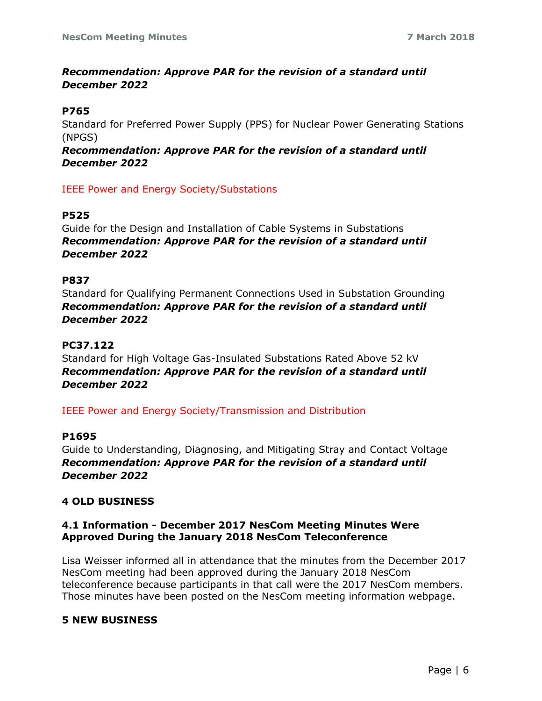# *Recommendation: Approve PAR for the revision of a standard until December 2022*

### **P765**

Standard for Preferred Power Supply (PPS) for Nuclear Power Generating Stations (NPGS)

*Recommendation: Approve PAR for the revision of a standard until December 2022*

IEEE Power and Energy Society/Substations

### **P525**

Guide for the Design and Installation of Cable Systems in Substations *Recommendation: Approve PAR for the revision of a standard until December 2022*

### **P837**

Standard for Qualifying Permanent Connections Used in Substation Grounding *Recommendation: Approve PAR for the revision of a standard until December 2022*

# **PC37.122**

Standard for High Voltage Gas-Insulated Substations Rated Above 52 kV *Recommendation: Approve PAR for the revision of a standard until December 2022*

IEEE Power and Energy Society/Transmission and Distribution

#### **P1695**

Guide to Understanding, Diagnosing, and Mitigating Stray and Contact Voltage *Recommendation: Approve PAR for the revision of a standard until December 2022*

## **4 OLD BUSINESS**

#### **4.1 Information - December 2017 NesCom Meeting Minutes Were Approved During the January 2018 NesCom Teleconference**

Lisa Weisser informed all in attendance that the minutes from the December 2017 NesCom meeting had been approved during the January 2018 NesCom teleconference because participants in that call were the 2017 NesCom members. Those minutes have been posted on the NesCom meeting information webpage.

#### **5 NEW BUSINESS**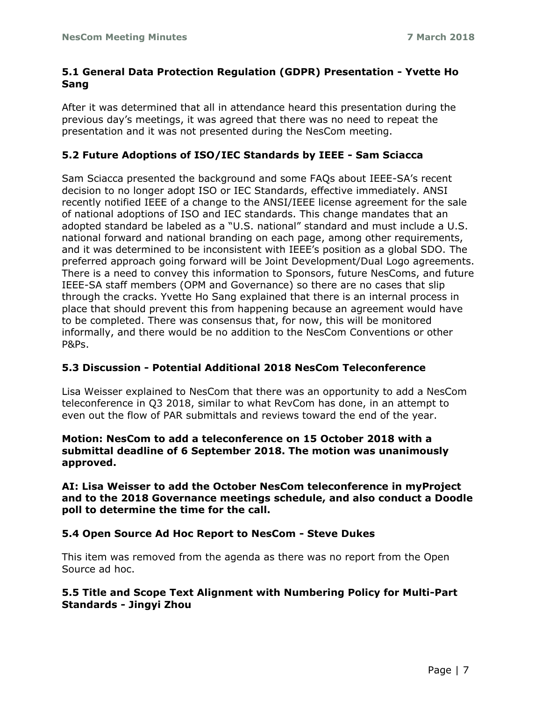## **5.1 General Data Protection Regulation (GDPR) Presentation - Yvette Ho Sang**

After it was determined that all in attendance heard this presentation during the previous day's meetings, it was agreed that there was no need to repeat the presentation and it was not presented during the NesCom meeting.

## **5.2 Future Adoptions of ISO/IEC Standards by IEEE - Sam Sciacca**

Sam Sciacca presented the background and some FAQs about IEEE-SA's recent decision to no longer adopt ISO or IEC Standards, effective immediately. ANSI recently notified IEEE of a change to the ANSI/IEEE license agreement for the sale of national adoptions of ISO and IEC standards. This change mandates that an adopted standard be labeled as a "U.S. national" standard and must include a U.S. national forward and national branding on each page, among other requirements, and it was determined to be inconsistent with IEEE's position as a global SDO. The preferred approach going forward will be Joint Development/Dual Logo agreements. There is a need to convey this information to Sponsors, future NesComs, and future IEEE-SA staff members (OPM and Governance) so there are no cases that slip through the cracks. Yvette Ho Sang explained that there is an internal process in place that should prevent this from happening because an agreement would have to be completed. There was consensus that, for now, this will be monitored informally, and there would be no addition to the NesCom Conventions or other P&Ps.

## **5.3 Discussion - Potential Additional 2018 NesCom Teleconference**

Lisa Weisser explained to NesCom that there was an opportunity to add a NesCom teleconference in Q3 2018, similar to what RevCom has done, in an attempt to even out the flow of PAR submittals and reviews toward the end of the year.

#### **Motion: NesCom to add a teleconference on 15 October 2018 with a submittal deadline of 6 September 2018. The motion was unanimously approved.**

#### **AI: Lisa Weisser to add the October NesCom teleconference in myProject and to the 2018 Governance meetings schedule, and also conduct a Doodle poll to determine the time for the call.**

## **5.4 Open Source Ad Hoc Report to NesCom - Steve Dukes**

This item was removed from the agenda as there was no report from the Open Source ad hoc.

## **5.5 Title and Scope Text Alignment with Numbering Policy for Multi-Part Standards - Jingyi Zhou**